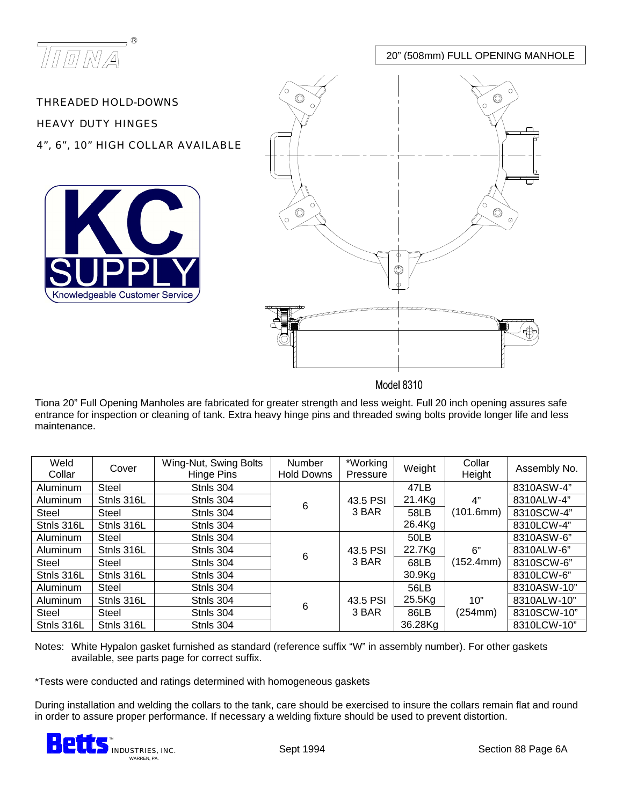

20" (508mm) FULL OPENING MANHOLE

THREADED HOLD-DOWNS HEAVY DUTY HINGES 4", 6", 10" HIGH COLLAR AVAILABLE





**Model 8310** 

Tiona 20" Full Opening Manholes are fabricated for greater strength and less weight. Full 20 inch opening assures safe entrance for inspection or cleaning of tank. Extra heavy hinge pins and threaded swing bolts provide longer life and less maintenance.

| Weld<br>Collar | Cover      | Wing-Nut, Swing Bolts<br>Hinge Pins | <b>Number</b><br><b>Hold Downs</b> | *Working<br>Pressure | Weight    | Collar<br>Height | Assembly No. |
|----------------|------------|-------------------------------------|------------------------------------|----------------------|-----------|------------------|--------------|
| Aluminum       | Steel      | Stnls 304                           |                                    |                      | 47LB      |                  | 8310ASW-4"   |
| Aluminum       | Stnls 316L | Stnls 304                           | 6                                  | 43.5 PSI             | 21.4Kg    | 4"               | 8310ALW-4"   |
| Steel          | Steel      | Stnls 304                           |                                    | 3 BAR                | 58LB      | (101.6mm)        | 8310SCW-4"   |
| Stnls 316L     | Stnls 316L | Stnls 304                           |                                    |                      | 26.4Kg    |                  | 8310LCW-4"   |
| Aluminum       | Steel      | Stnls 304                           |                                    |                      | 50LB      |                  | 8310ASW-6"   |
| Aluminum       | Stnls 316L | Stnls 304                           | 6                                  | 43.5 PSI             | 22.7Kg    | 6"               | 8310ALW-6"   |
| Steel          | Steel      | Stnls 304                           |                                    | 3 BAR                | 68LB      | (152.4mm)        | 8310SCW-6"   |
| Stnls 316L     | Stnls 316L | Stnls 304                           |                                    |                      | 30.9Kg    |                  | 8310LCW-6"   |
| Aluminum       | Steel      | Stnls 304                           |                                    |                      | 56LB      |                  | 8310ASW-10"  |
| Aluminum       | Stnls 316L | Stnls 304                           | 6                                  | 43.5 PSI             | $25.5$ Kg | 10"              | 8310ALW-10"  |
| Steel          | Steel      | Stnls 304                           |                                    | 3 BAR                | 86LB      | (254mm)          | 8310SCW-10"  |
| Stnls 316L     | Stnls 316L | Stnls 304                           |                                    |                      | 36.28Kg   |                  | 8310LCW-10"  |

Notes: White Hypalon gasket furnished as standard (reference suffix "W" in assembly number). For other gaskets available, see parts page for correct suffix.

\*Tests were conducted and ratings determined with homogeneous gaskets

During installation and welding the collars to the tank, care should be exercised to insure the collars remain flat and round in order to assure proper performance. If necessary a welding fixture should be used to prevent distortion.